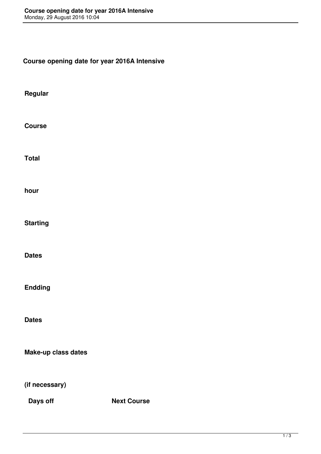**Course opening date for year 2016A Intensive**

**Regular**

**Course**

**Total**

**hour**

**Starting**

**Dates**

**Endding**

**Dates**

**Make-up class dates**

**(if necessary)**

**Days off Next Course**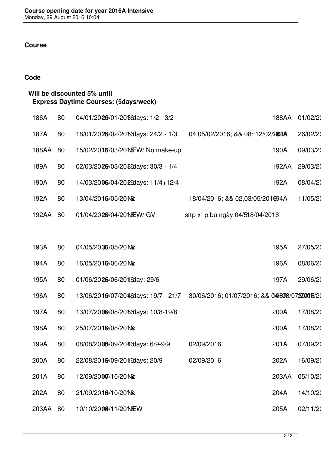## **Course**

## **Code**

| Will be discounted 5% until<br><b>Express Daytime Courses: (5days/week)</b> |       |    |                                     |                                               |       |          |  |  |  |  |
|-----------------------------------------------------------------------------|-------|----|-------------------------------------|-----------------------------------------------|-------|----------|--|--|--|--|
|                                                                             | 186A  | 80 | 04/01/2020/01/2038 days: 1/2 - 3/2  |                                               | 188AA | 01/02/20 |  |  |  |  |
|                                                                             | 187A  | 80 | 18/01/2028/02/2056days: 24/2 - 1/3  | 04,05/02/2016; && 08~12/02/2898               |       | 26/02/20 |  |  |  |  |
|                                                                             | 188AA | 80 | 15/02/2016/03/20 NEW/ No make-up    |                                               | 190A  | 09/03/20 |  |  |  |  |
|                                                                             | 189A  | 80 | 02/03/20209/03/2036days: 30/3 - 1/4 |                                               | 192AA | 29/03/20 |  |  |  |  |
|                                                                             | 190A  | 80 | 14/03/2008/04/2026days: 11/4+12/4   |                                               | 192A  | 08/04/20 |  |  |  |  |
|                                                                             | 192A  | 80 | 13/04/2016/05/20Mb                  | 18/04/2016; && 02,03/05/201694A               |       | 11/05/20 |  |  |  |  |
|                                                                             | 192AA | 80 | 01/04/2029/04/20 NEW/ GV            | s□ p x□ p bù ngày 04/518/04/2016              |       |          |  |  |  |  |
|                                                                             |       |    |                                     |                                               |       |          |  |  |  |  |
|                                                                             | 193A  | 80 | 04/05/2036/05/2010                  |                                               | 195A  | 27/05/20 |  |  |  |  |
|                                                                             | 194A  | 80 | 16/05/2010/06/2010                  |                                               | 196A  | 08/06/20 |  |  |  |  |
|                                                                             | 195A  | 80 | 01/06/2028/06/2016day: 29/6         |                                               | 197A  | 29/06/20 |  |  |  |  |
|                                                                             | 196A  | 80 | 13/06/2010/07/2046days: 19/7 - 21/7 | 30/06/2016; 01/07/2016; && 049808/07220006/20 |       |          |  |  |  |  |
|                                                                             | 197A  | 80 | 13/07/2009/08/2086days: 10/8-19/8   |                                               | 200A  | 17/08/20 |  |  |  |  |
|                                                                             | 198A  | 80 | 25/07/2010/08/2010                  |                                               | 200A  | 17/08/20 |  |  |  |  |
|                                                                             | 199A  | 80 | 08/08/2005/09/2046days: 6/9-9/9     | 02/09/2016                                    | 201A  | 07/09/20 |  |  |  |  |
|                                                                             | 200A  | 80 | 22/08/2010/09/2016days: 20/9        | 02/09/2016                                    | 202A  | 16/09/20 |  |  |  |  |
|                                                                             | 201A  | 80 | 12/09/2006/10/2010                  |                                               | 203AA | 05/10/20 |  |  |  |  |
|                                                                             | 202A  | 80 | 21/09/2016/10/20Mb                  |                                               | 204A  | 14/10/20 |  |  |  |  |
|                                                                             | 203AA | 80 | 10/10/2006/11/20MEW                 |                                               | 205A  | 02/11/20 |  |  |  |  |